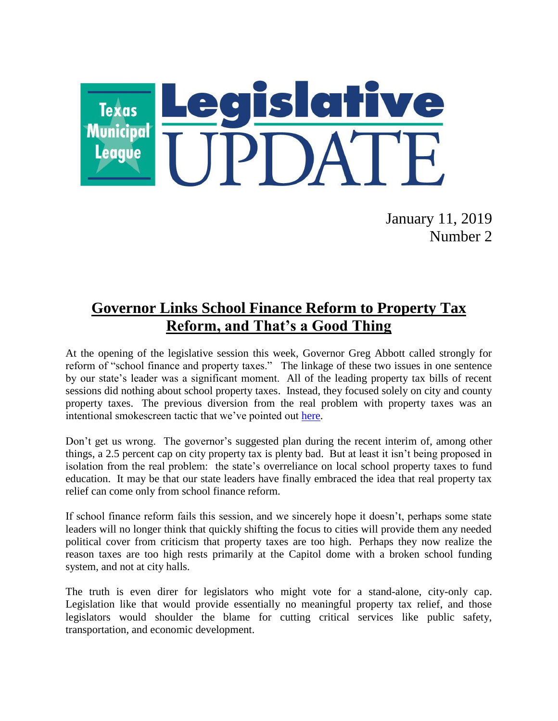

January 11, 2019 Number 2

# **Governor Links School Finance Reform to Property Tax Reform, and That's a Good Thing**

At the opening of the legislative session this week, Governor Greg Abbott called strongly for reform of "school finance and property taxes." The linkage of these two issues in one sentence by our state's leader was a significant moment. All of the leading property tax bills of recent sessions did nothing about school property taxes. Instead, they focused solely on city and county property taxes. The previous diversion from the real problem with property taxes was an intentional smokescreen tactic that we've pointed out [here.](https://www.tml.org/legis_updates/LU2017-41#fuzzymath)

Don't get us wrong. The governor's suggested plan during the recent interim of, among other things, a 2.5 percent cap on city property tax is plenty bad. But at least it isn't being proposed in isolation from the real problem: the state's overreliance on local school property taxes to fund education. It may be that our state leaders have finally embraced the idea that real property tax relief can come only from school finance reform.

If school finance reform fails this session, and we sincerely hope it doesn't, perhaps some state leaders will no longer think that quickly shifting the focus to cities will provide them any needed political cover from criticism that property taxes are too high. Perhaps they now realize the reason taxes are too high rests primarily at the Capitol dome with a broken school funding system, and not at city halls.

The truth is even direr for legislators who might vote for a stand-alone, city-only cap. Legislation like that would provide essentially no meaningful property tax relief, and those legislators would shoulder the blame for cutting critical services like public safety, transportation, and economic development.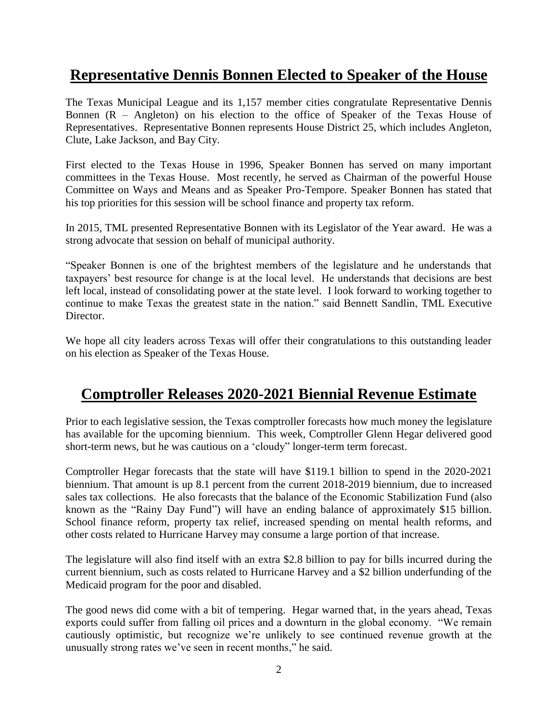# **Representative Dennis Bonnen Elected to Speaker of the House**

The Texas Municipal League and its 1,157 member cities congratulate Representative Dennis Bonnen (R – Angleton) on his election to the office of Speaker of the Texas House of Representatives. Representative Bonnen represents House District 25, which includes Angleton, Clute, Lake Jackson, and Bay City.

First elected to the Texas House in 1996, Speaker Bonnen has served on many important committees in the Texas House. Most recently, he served as Chairman of the powerful House Committee on Ways and Means and as Speaker Pro-Tempore. Speaker Bonnen has stated that his top priorities for this session will be school finance and property tax reform.

In 2015, TML presented Representative Bonnen with its Legislator of the Year award. He was a strong advocate that session on behalf of municipal authority.

"Speaker Bonnen is one of the brightest members of the legislature and he understands that taxpayers' best resource for change is at the local level. He understands that decisions are best left local, instead of consolidating power at the state level. I look forward to working together to continue to make Texas the greatest state in the nation." said Bennett Sandlin, TML Executive Director.

We hope all city leaders across Texas will offer their congratulations to this outstanding leader on his election as Speaker of the Texas House.

# **Comptroller Releases 2020-2021 Biennial Revenue Estimate**

Prior to each legislative session, the Texas comptroller forecasts how much money the legislature has available for the upcoming biennium. This week, Comptroller Glenn Hegar delivered good short-term news, but he was cautious on a 'cloudy" longer-term term forecast.

Comptroller Hegar forecasts that the state will have \$119.1 billion to spend in the 2020-2021 biennium. That amount is up 8.1 percent from the current 2018-2019 biennium, due to increased sales tax collections. He also forecasts that the balance of the Economic Stabilization Fund (also known as the "Rainy Day Fund") will have an ending balance of approximately \$15 billion. School finance reform, property tax relief, increased spending on mental health reforms, and other costs related to Hurricane Harvey may consume a large portion of that increase.

The legislature will also find itself with an extra \$2.8 billion to pay for bills incurred during the current biennium, such as costs related to Hurricane Harvey and a \$2 billion underfunding of the Medicaid program for the poor and disabled.

The good news did come with a bit of tempering. Hegar warned that, in the years ahead, Texas exports could suffer from falling oil prices and a downturn in the global economy. "We remain cautiously optimistic, but recognize we're unlikely to see continued revenue growth at the unusually strong rates we've seen in recent months," he said.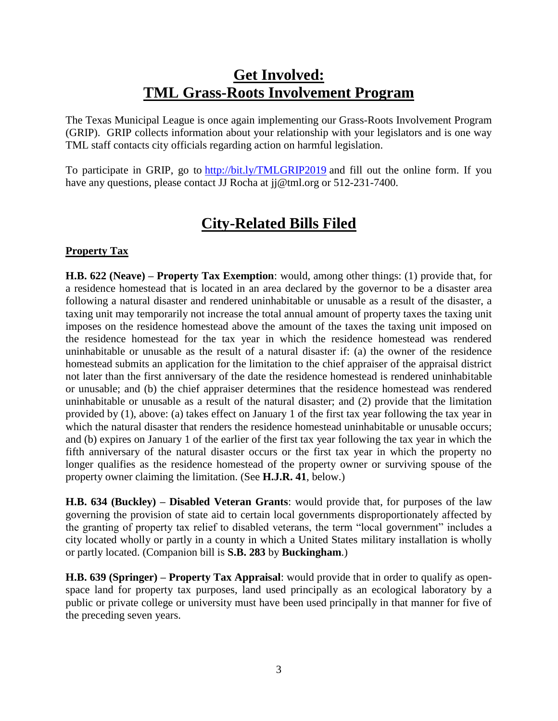## **Get Involved: TML Grass-Roots Involvement Program**

The Texas Municipal League is once again implementing our Grass-Roots Involvement Program (GRIP). GRIP collects information about your relationship with your legislators and is one way TML staff contacts city officials regarding action on harmful legislation.

To participate in GRIP, go to <http://bit.ly/TMLGRIP2019> and fill out the online form. If you have any questions, please contact JJ Rocha at j $\phi$ tml.org or 512-231-7400.

# **City-Related Bills Filed**

## **Property Tax**

**H.B. 622 (Neave) – Property Tax Exemption**: would, among other things: (1) provide that, for a residence homestead that is located in an area declared by the governor to be a disaster area following a natural disaster and rendered uninhabitable or unusable as a result of the disaster, a taxing unit may temporarily not increase the total annual amount of property taxes the taxing unit imposes on the residence homestead above the amount of the taxes the taxing unit imposed on the residence homestead for the tax year in which the residence homestead was rendered uninhabitable or unusable as the result of a natural disaster if: (a) the owner of the residence homestead submits an application for the limitation to the chief appraiser of the appraisal district not later than the first anniversary of the date the residence homestead is rendered uninhabitable or unusable; and (b) the chief appraiser determines that the residence homestead was rendered uninhabitable or unusable as a result of the natural disaster; and (2) provide that the limitation provided by (1), above: (a) takes effect on January 1 of the first tax year following the tax year in which the natural disaster that renders the residence homestead uninhabitable or unusable occurs; and (b) expires on January 1 of the earlier of the first tax year following the tax year in which the fifth anniversary of the natural disaster occurs or the first tax year in which the property no longer qualifies as the residence homestead of the property owner or surviving spouse of the property owner claiming the limitation. (See **H.J.R. 41**, below.)

**H.B. 634 (Buckley) – Disabled Veteran Grants**: would provide that, for purposes of the law governing the provision of state aid to certain local governments disproportionately affected by the granting of property tax relief to disabled veterans, the term "local government" includes a city located wholly or partly in a county in which a United States military installation is wholly or partly located. (Companion bill is **S.B. 283** by **Buckingham**.)

**H.B. 639 (Springer) – Property Tax Appraisal**: would provide that in order to qualify as openspace land for property tax purposes, land used principally as an ecological laboratory by a public or private college or university must have been used principally in that manner for five of the preceding seven years.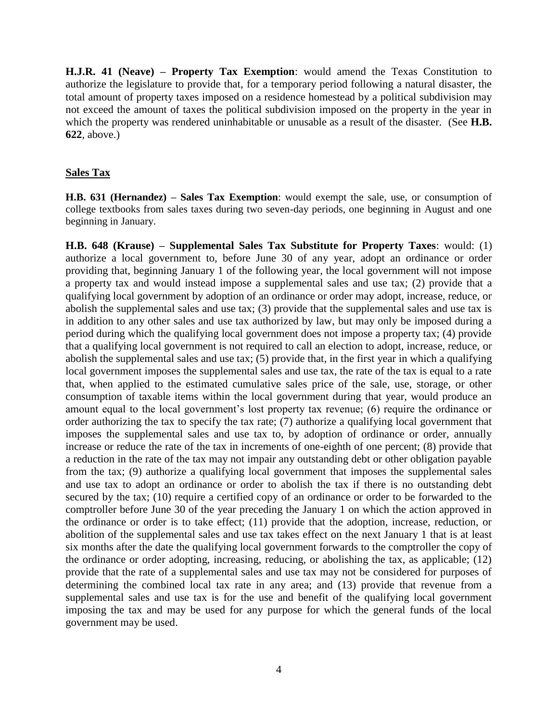**H.J.R. 41 (Neave) – Property Tax Exemption**: would amend the Texas Constitution to authorize the legislature to provide that, for a temporary period following a natural disaster, the total amount of property taxes imposed on a residence homestead by a political subdivision may not exceed the amount of taxes the political subdivision imposed on the property in the year in which the property was rendered uninhabitable or unusable as a result of the disaster. (See **H.B. 622**, above.)

#### **Sales Tax**

**H.B. 631 (Hernandez) – Sales Tax Exemption**: would exempt the sale, use, or consumption of college textbooks from sales taxes during two seven-day periods, one beginning in August and one beginning in January.

**H.B. 648 (Krause) – Supplemental Sales Tax Substitute for Property Taxes**: would: (1) authorize a local government to, before June 30 of any year, adopt an ordinance or order providing that, beginning January 1 of the following year, the local government will not impose a property tax and would instead impose a supplemental sales and use tax; (2) provide that a qualifying local government by adoption of an ordinance or order may adopt, increase, reduce, or abolish the supplemental sales and use tax; (3) provide that the supplemental sales and use tax is in addition to any other sales and use tax authorized by law, but may only be imposed during a period during which the qualifying local government does not impose a property tax; (4) provide that a qualifying local government is not required to call an election to adopt, increase, reduce, or abolish the supplemental sales and use tax; (5) provide that, in the first year in which a qualifying local government imposes the supplemental sales and use tax, the rate of the tax is equal to a rate that, when applied to the estimated cumulative sales price of the sale, use, storage, or other consumption of taxable items within the local government during that year, would produce an amount equal to the local government's lost property tax revenue; (6) require the ordinance or order authorizing the tax to specify the tax rate; (7) authorize a qualifying local government that imposes the supplemental sales and use tax to, by adoption of ordinance or order, annually increase or reduce the rate of the tax in increments of one-eighth of one percent; (8) provide that a reduction in the rate of the tax may not impair any outstanding debt or other obligation payable from the tax; (9) authorize a qualifying local government that imposes the supplemental sales and use tax to adopt an ordinance or order to abolish the tax if there is no outstanding debt secured by the tax; (10) require a certified copy of an ordinance or order to be forwarded to the comptroller before June 30 of the year preceding the January 1 on which the action approved in the ordinance or order is to take effect; (11) provide that the adoption, increase, reduction, or abolition of the supplemental sales and use tax takes effect on the next January 1 that is at least six months after the date the qualifying local government forwards to the comptroller the copy of the ordinance or order adopting, increasing, reducing, or abolishing the tax, as applicable; (12) provide that the rate of a supplemental sales and use tax may not be considered for purposes of determining the combined local tax rate in any area; and (13) provide that revenue from a supplemental sales and use tax is for the use and benefit of the qualifying local government imposing the tax and may be used for any purpose for which the general funds of the local government may be used.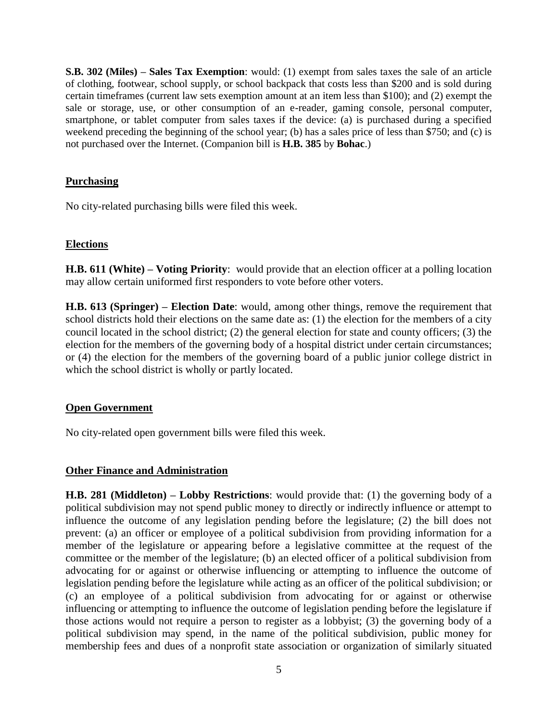**S.B. 302 (Miles) – Sales Tax Exemption**: would: (1) exempt from sales taxes the sale of an article of clothing, footwear, school supply, or school backpack that costs less than \$200 and is sold during certain timeframes (current law sets exemption amount at an item less than \$100); and (2) exempt the sale or storage, use, or other consumption of an e-reader, gaming console, personal computer, smartphone, or tablet computer from sales taxes if the device: (a) is purchased during a specified weekend preceding the beginning of the school year; (b) has a sales price of less than \$750; and (c) is not purchased over the Internet. (Companion bill is **H.B. 385** by **Bohac**.)

#### **Purchasing**

No city-related purchasing bills were filed this week.

## **Elections**

**H.B. 611 (White) – Voting Priority**: would provide that an election officer at a polling location may allow certain uniformed first responders to vote before other voters.

**H.B. 613 (Springer) – Election Date**: would, among other things, remove the requirement that school districts hold their elections on the same date as: (1) the election for the members of a city council located in the school district; (2) the general election for state and county officers; (3) the election for the members of the governing body of a hospital district under certain circumstances; or (4) the election for the members of the governing board of a public junior college district in which the school district is wholly or partly located.

## **Open Government**

No city-related open government bills were filed this week.

## **Other Finance and Administration**

**H.B. 281 (Middleton) – Lobby Restrictions**: would provide that: (1) the governing body of a political subdivision may not spend public money to directly or indirectly influence or attempt to influence the outcome of any legislation pending before the legislature; (2) the bill does not prevent: (a) an officer or employee of a political subdivision from providing information for a member of the legislature or appearing before a legislative committee at the request of the committee or the member of the legislature; (b) an elected officer of a political subdivision from advocating for or against or otherwise influencing or attempting to influence the outcome of legislation pending before the legislature while acting as an officer of the political subdivision; or (c) an employee of a political subdivision from advocating for or against or otherwise influencing or attempting to influence the outcome of legislation pending before the legislature if those actions would not require a person to register as a lobbyist; (3) the governing body of a political subdivision may spend, in the name of the political subdivision, public money for membership fees and dues of a nonprofit state association or organization of similarly situated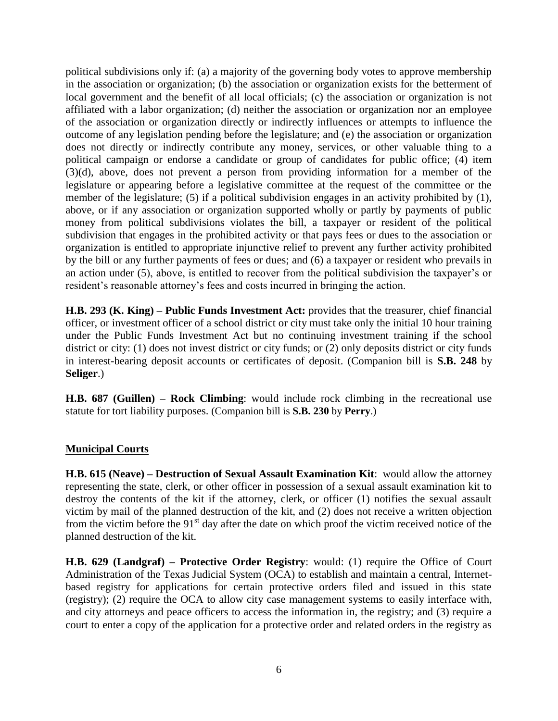political subdivisions only if: (a) a majority of the governing body votes to approve membership in the association or organization; (b) the association or organization exists for the betterment of local government and the benefit of all local officials; (c) the association or organization is not affiliated with a labor organization; (d) neither the association or organization nor an employee of the association or organization directly or indirectly influences or attempts to influence the outcome of any legislation pending before the legislature; and (e) the association or organization does not directly or indirectly contribute any money, services, or other valuable thing to a political campaign or endorse a candidate or group of candidates for public office; (4) item (3)(d), above, does not prevent a person from providing information for a member of the legislature or appearing before a legislative committee at the request of the committee or the member of the legislature; (5) if a political subdivision engages in an activity prohibited by  $(1)$ , above, or if any association or organization supported wholly or partly by payments of public money from political subdivisions violates the bill, a taxpayer or resident of the political subdivision that engages in the prohibited activity or that pays fees or dues to the association or organization is entitled to appropriate injunctive relief to prevent any further activity prohibited by the bill or any further payments of fees or dues; and (6) a taxpayer or resident who prevails in an action under (5), above, is entitled to recover from the political subdivision the taxpayer's or resident's reasonable attorney's fees and costs incurred in bringing the action.

**H.B. 293 (K. King) – Public Funds Investment Act:** provides that the treasurer, chief financial officer, or investment officer of a school district or city must take only the initial 10 hour training under the Public Funds Investment Act but no continuing investment training if the school district or city: (1) does not invest district or city funds; or (2) only deposits district or city funds in interest-bearing deposit accounts or certificates of deposit. (Companion bill is **S.B. 248** by **Seliger**.)

**H.B. 687 (Guillen) – Rock Climbing**: would include rock climbing in the recreational use statute for tort liability purposes. (Companion bill is **S.B. 230** by **Perry**.)

#### **Municipal Courts**

**H.B. 615 (Neave) – Destruction of Sexual Assault Examination Kit**: would allow the attorney representing the state, clerk, or other officer in possession of a sexual assault examination kit to destroy the contents of the kit if the attorney, clerk, or officer (1) notifies the sexual assault victim by mail of the planned destruction of the kit, and (2) does not receive a written objection from the victim before the 91<sup>st</sup> day after the date on which proof the victim received notice of the planned destruction of the kit.

**H.B. 629 (Landgraf) – Protective Order Registry**: would: (1) require the Office of Court Administration of the Texas Judicial System (OCA) to establish and maintain a central, Internetbased registry for applications for certain protective orders filed and issued in this state (registry); (2) require the OCA to allow city case management systems to easily interface with, and city attorneys and peace officers to access the information in, the registry; and (3) require a court to enter a copy of the application for a protective order and related orders in the registry as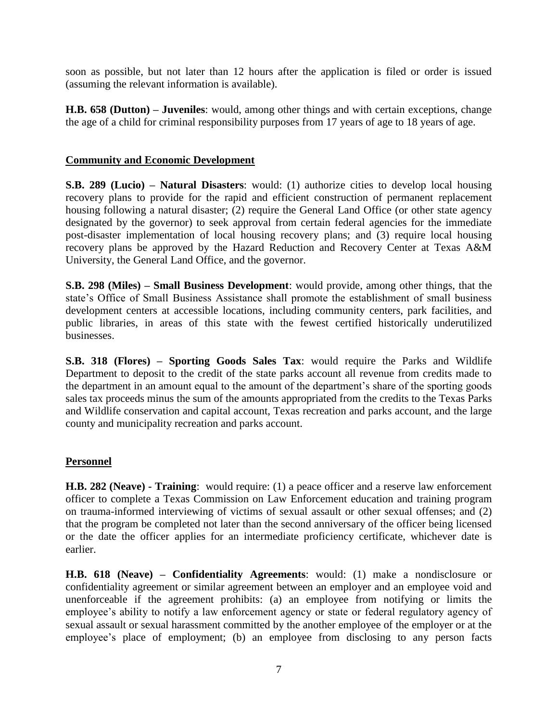soon as possible, but not later than 12 hours after the application is filed or order is issued (assuming the relevant information is available).

**H.B. 658 (Dutton) – Juveniles**: would, among other things and with certain exceptions, change the age of a child for criminal responsibility purposes from 17 years of age to 18 years of age.

#### **Community and Economic Development**

**S.B. 289 (Lucio) – Natural Disasters**: would: (1) authorize cities to develop local housing recovery plans to provide for the rapid and efficient construction of permanent replacement housing following a natural disaster; (2) require the General Land Office (or other state agency designated by the governor) to seek approval from certain federal agencies for the immediate post-disaster implementation of local housing recovery plans; and (3) require local housing recovery plans be approved by the Hazard Reduction and Recovery Center at Texas A&M University, the General Land Office, and the governor.

**S.B. 298 (Miles) – Small Business Development**: would provide, among other things, that the state's Office of Small Business Assistance shall promote the establishment of small business development centers at accessible locations, including community centers, park facilities, and public libraries, in areas of this state with the fewest certified historically underutilized businesses.

**S.B. 318 (Flores) – Sporting Goods Sales Tax**: would require the Parks and Wildlife Department to deposit to the credit of the state parks account all revenue from credits made to the department in an amount equal to the amount of the department's share of the sporting goods sales tax proceeds minus the sum of the amounts appropriated from the credits to the Texas Parks and Wildlife conservation and capital account, Texas recreation and parks account, and the large county and municipality recreation and parks account.

#### **Personnel**

**H.B. 282 (Neave) - Training**: would require: (1) a peace officer and a reserve law enforcement officer to complete a Texas Commission on Law Enforcement education and training program on trauma-informed interviewing of victims of sexual assault or other sexual offenses; and (2) that the program be completed not later than the second anniversary of the officer being licensed or the date the officer applies for an intermediate proficiency certificate, whichever date is earlier.

**H.B. 618 (Neave) – Confidentiality Agreements**: would: (1) make a nondisclosure or confidentiality agreement or similar agreement between an employer and an employee void and unenforceable if the agreement prohibits: (a) an employee from notifying or limits the employee's ability to notify a law enforcement agency or state or federal regulatory agency of sexual assault or sexual harassment committed by the another employee of the employer or at the employee's place of employment; (b) an employee from disclosing to any person facts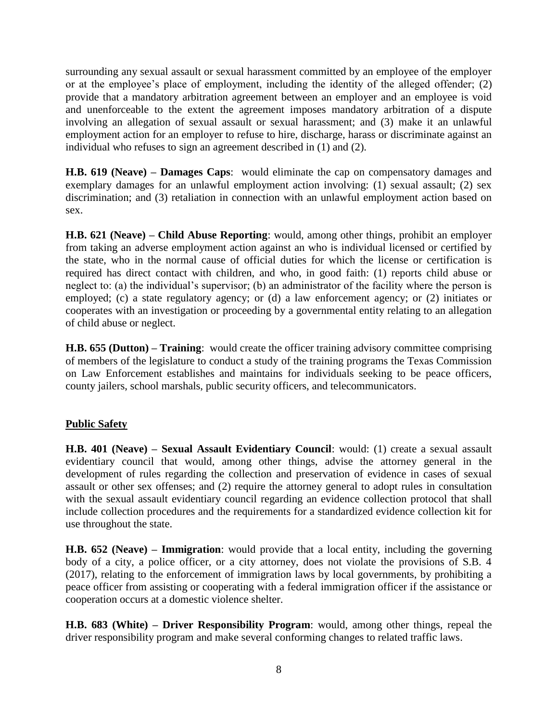surrounding any sexual assault or sexual harassment committed by an employee of the employer or at the employee's place of employment, including the identity of the alleged offender; (2) provide that a mandatory arbitration agreement between an employer and an employee is void and unenforceable to the extent the agreement imposes mandatory arbitration of a dispute involving an allegation of sexual assault or sexual harassment; and (3) make it an unlawful employment action for an employer to refuse to hire, discharge, harass or discriminate against an individual who refuses to sign an agreement described in (1) and (2).

**H.B. 619 (Neave) – Damages Caps**: would eliminate the cap on compensatory damages and exemplary damages for an unlawful employment action involving: (1) sexual assault; (2) sex discrimination; and (3) retaliation in connection with an unlawful employment action based on sex.

**H.B. 621 (Neave) – Child Abuse Reporting**: would, among other things, prohibit an employer from taking an adverse employment action against an who is individual licensed or certified by the state, who in the normal cause of official duties for which the license or certification is required has direct contact with children, and who, in good faith: (1) reports child abuse or neglect to: (a) the individual's supervisor; (b) an administrator of the facility where the person is employed; (c) a state regulatory agency; or (d) a law enforcement agency; or (2) initiates or cooperates with an investigation or proceeding by a governmental entity relating to an allegation of child abuse or neglect.

**H.B. 655 (Dutton) – Training**: would create the officer training advisory committee comprising of members of the legislature to conduct a study of the training programs the Texas Commission on Law Enforcement establishes and maintains for individuals seeking to be peace officers, county jailers, school marshals, public security officers, and telecommunicators.

## **Public Safety**

**H.B. 401 (Neave) – Sexual Assault Evidentiary Council**: would: (1) create a sexual assault evidentiary council that would, among other things, advise the attorney general in the development of rules regarding the collection and preservation of evidence in cases of sexual assault or other sex offenses; and (2) require the attorney general to adopt rules in consultation with the sexual assault evidentiary council regarding an evidence collection protocol that shall include collection procedures and the requirements for a standardized evidence collection kit for use throughout the state.

**H.B. 652 (Neave) – Immigration**: would provide that a local entity, including the governing body of a city, a police officer, or a city attorney, does not violate the provisions of S.B. 4 (2017), relating to the enforcement of immigration laws by local governments, by prohibiting a peace officer from assisting or cooperating with a federal immigration officer if the assistance or cooperation occurs at a domestic violence shelter.

**H.B. 683 (White) – Driver Responsibility Program**: would, among other things, repeal the driver responsibility program and make several conforming changes to related traffic laws.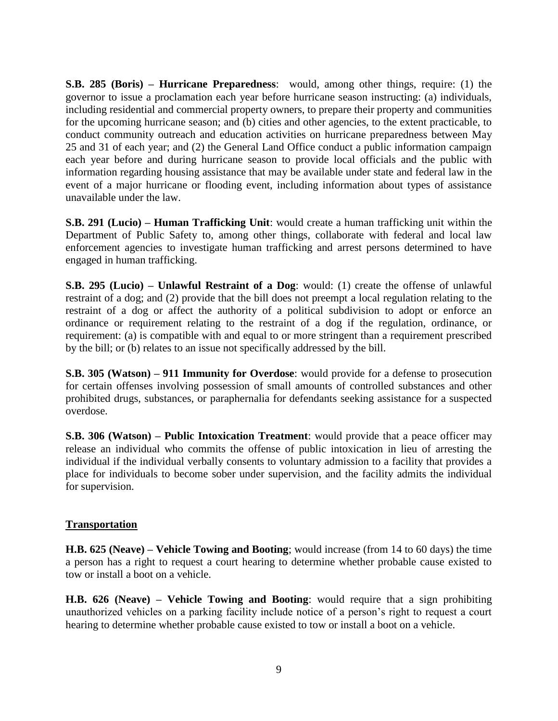**S.B. 285 (Boris) – Hurricane Preparedness**: would, among other things, require: (1) the governor to issue a proclamation each year before hurricane season instructing: (a) individuals, including residential and commercial property owners, to prepare their property and communities for the upcoming hurricane season; and (b) cities and other agencies, to the extent practicable, to conduct community outreach and education activities on hurricane preparedness between May 25 and 31 of each year; and (2) the General Land Office conduct a public information campaign each year before and during hurricane season to provide local officials and the public with information regarding housing assistance that may be available under state and federal law in the event of a major hurricane or flooding event, including information about types of assistance unavailable under the law.

**S.B. 291 (Lucio) – Human Trafficking Unit**: would create a human trafficking unit within the Department of Public Safety to, among other things, collaborate with federal and local law enforcement agencies to investigate human trafficking and arrest persons determined to have engaged in human trafficking.

**S.B. 295 (Lucio) – Unlawful Restraint of a Dog**: would: (1) create the offense of unlawful restraint of a dog; and (2) provide that the bill does not preempt a local regulation relating to the restraint of a dog or affect the authority of a political subdivision to adopt or enforce an ordinance or requirement relating to the restraint of a dog if the regulation, ordinance, or requirement: (a) is compatible with and equal to or more stringent than a requirement prescribed by the bill; or (b) relates to an issue not specifically addressed by the bill.

**S.B. 305 (Watson) – 911 Immunity for Overdose**: would provide for a defense to prosecution for certain offenses involving possession of small amounts of controlled substances and other prohibited drugs, substances, or paraphernalia for defendants seeking assistance for a suspected overdose.

**S.B. 306 (Watson) – Public Intoxication Treatment**: would provide that a peace officer may release an individual who commits the offense of public intoxication in lieu of arresting the individual if the individual verbally consents to voluntary admission to a facility that provides a place for individuals to become sober under supervision, and the facility admits the individual for supervision.

#### **Transportation**

**H.B. 625 (Neave) – Vehicle Towing and Booting**; would increase (from 14 to 60 days) the time a person has a right to request a court hearing to determine whether probable cause existed to tow or install a boot on a vehicle.

**H.B. 626 (Neave) – Vehicle Towing and Booting**: would require that a sign prohibiting unauthorized vehicles on a parking facility include notice of a person's right to request a court hearing to determine whether probable cause existed to tow or install a boot on a vehicle.